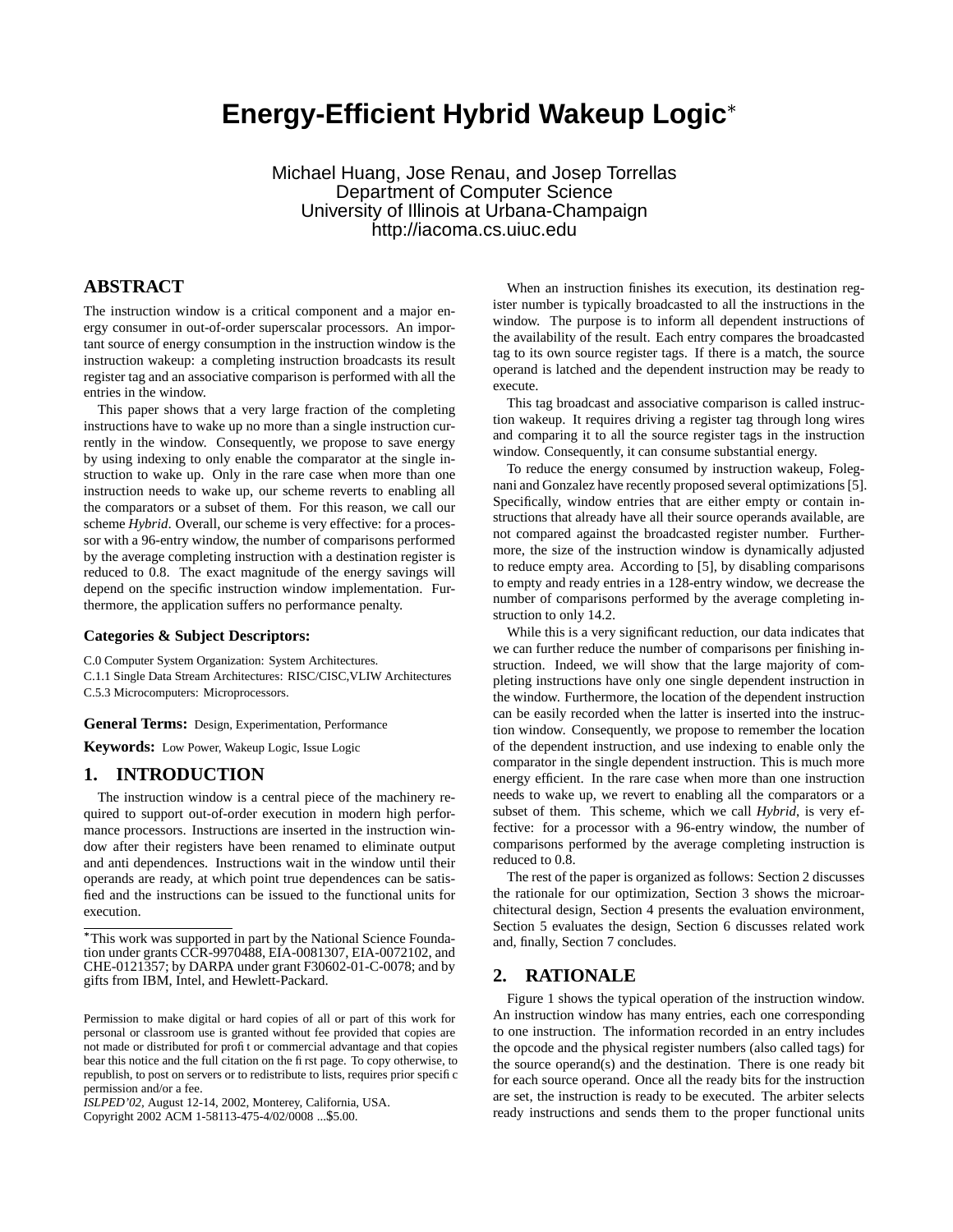# **Energy-Efficient Hybrid Wakeup Logic**

Michael Huang, Jose Renau, and Josep Torrellas Department of Computer Science University of Illinois at Urbana-Champaign http://iacoma.cs.uiuc.edu

## **ABSTRACT**

The instruction window is a critical component and a major energy consumer in out-of-order superscalar processors. An important source of energy consumption in the instruction window is the instruction wakeup: a completing instruction broadcasts its result register tag and an associative comparison is performed with all the entries in the window.

This paper shows that a very large fraction of the completing instructions have to wake up no more than a single instruction currently in the window. Consequently, we propose to save energy by using indexing to only enable the comparator at the single instruction to wake up. Only in the rare case when more than one instruction needs to wake up, our scheme reverts to enabling all the comparators or a subset of them. For this reason, we call our scheme *Hybrid*. Overall, our scheme is very effective: for a processor with a 96-entry window, the number of comparisons performed by the average completing instruction with a destination register is reduced to 0.8. The exact magnitude of the energy savings will depend on the specific instruction window implementation. Furthermore, the application suffers no performance penalty.

#### **Categories & Subject Descriptors:**

C.0 Computer System Organization: System Architectures.

C.1.1 Single Data Stream Architectures: RISC/CISC,VLIW Architectures C.5.3 Microcomputers: Microprocessors.

**General Terms:** Design, Experimentation, Performance

**Keywords:** Low Power, Wakeup Logic, Issue Logic

#### **1. INTRODUCTION**

The instruction window is a central piece of the machinery required to support out-of-order execution in modern high performance processors. Instructions are inserted in the instruction window after their registers have been renamed to eliminate output and anti dependences. Instructions wait in the window until their operands are ready, at which point true dependences can be satisfied and the instructions can be issued to the functional units for execution.

Copyright 2002 ACM 1-58113-475-4/02/0008 ...\$5.00.

When an instruction finishes its execution, its destination register number is typically broadcasted to all the instructions in the window. The purpose is to inform all dependent instructions of the availability of the result. Each entry compares the broadcasted tag to its own source register tags. If there is a match, the source operand is latched and the dependent instruction may be ready to execute.

This tag broadcast and associative comparison is called instruction wakeup. It requires driving a register tag through long wires and comparing it to all the source register tags in the instruction window. Consequently, it can consume substantial energy.

To reduce the energy consumed by instruction wakeup, Folegnani and Gonzalez have recently proposed several optimizations[5]. Specifically, window entries that are either empty or contain instructions that already have all their source operands available, are not compared against the broadcasted register number. Furthermore, the size of the instruction window is dynamically adjusted to reduce empty area. According to [5], by disabling comparisons to empty and ready entries in a 128-entry window, we decrease the number of comparisons performed by the average completing instruction to only 14.2.

While this is a very significant reduction, our data indicates that we can further reduce the number of comparisons per finishing instruction. Indeed, we will show that the large majority of completing instructions have only one single dependent instruction in the window. Furthermore, the location of the dependent instruction can be easily recorded when the latter is inserted into the instruction window. Consequently, we propose to remember the location of the dependent instruction, and use indexing to enable only the comparator in the single dependent instruction. This is much more energy efficient. In the rare case when more than one instruction needs to wake up, we revert to enabling all the comparators or a subset of them. This scheme, which we call *Hybrid*, is very effective: for a processor with a 96-entry window, the number of comparisons performed by the average completing instruction is reduced to 0.8.

The rest of the paper is organized as follows: Section 2 discusses the rationale for our optimization, Section 3 shows the microarchitectural design, Section 4 presents the evaluation environment, Section 5 evaluates the design, Section 6 discusses related work and, finally, Section 7 concludes.

#### **2. RATIONALE**

Figure 1 shows the typical operation of the instruction window. An instruction window has many entries, each one corresponding to one instruction. The information recorded in an entry includes the opcode and the physical register numbers (also called tags) for the source operand(s) and the destination. There is one ready bit for each source operand. Once all the ready bits for the instruction are set, the instruction is ready to be executed. The arbiter selects ready instructions and sends them to the proper functional units

This work was supported in part by the National Science Foundation under grants CCR-9970488, EIA-0081307, EIA-0072102, and CHE-0121357; by DARPA under grant F30602-01-C-0078; and by gifts from IBM, Intel, and Hewlett-Packard.

Permission to make digital or hard copies of all or part of this work for personal or classroom use is granted without fee provided that copies are not made or distributed for profit or commercial advantage and that copies bear this notice and the full citation on the first page. To copy otherwise, to republish, to post on servers or to redistribute to lists, requires prior specific permission and/or a fee.

*ISLPED'02,* August 12-14, 2002, Monterey, California, USA.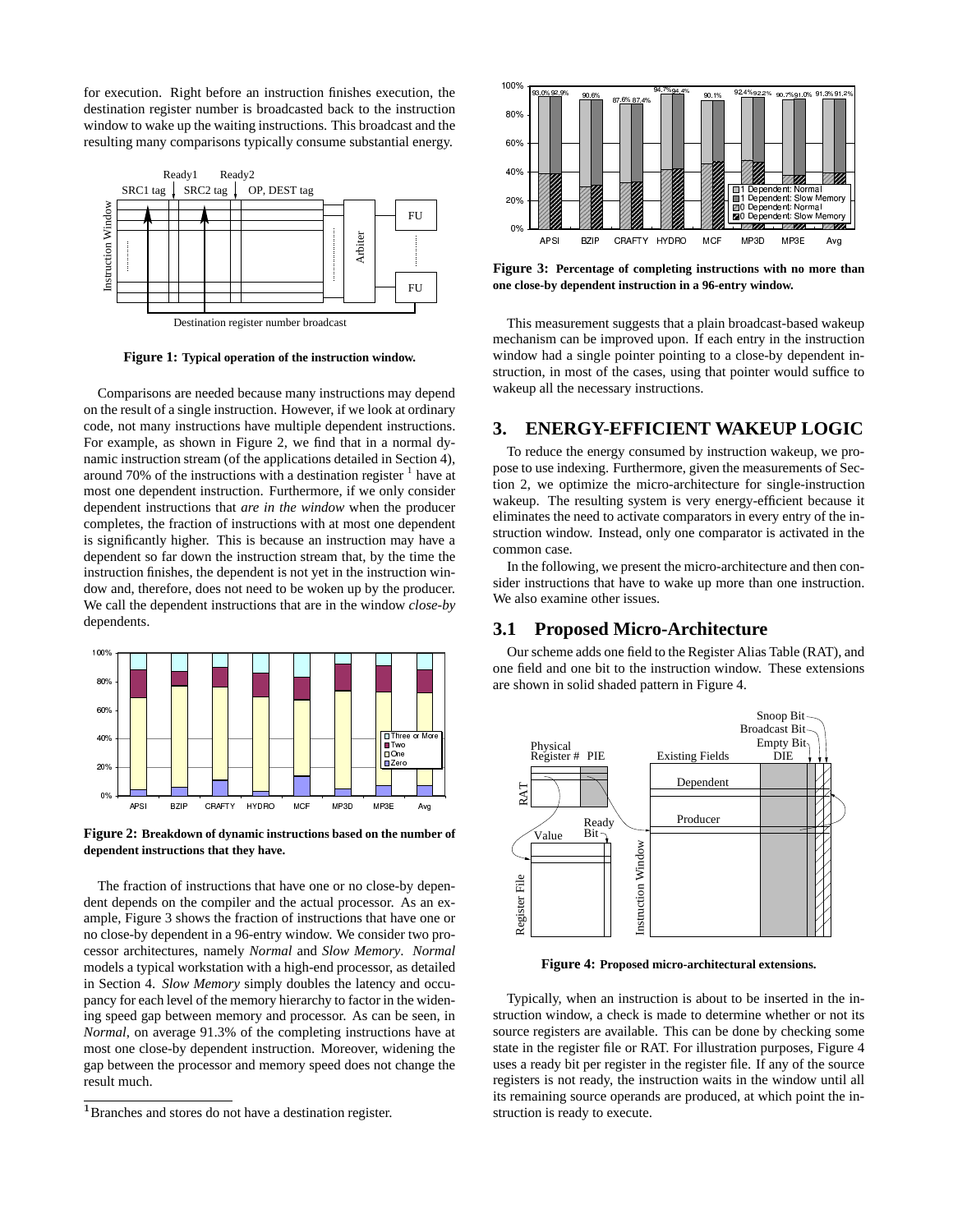for execution. Right before an instruction finishes execution, the destination register number is broadcasted back to the instruction window to wake up the waiting instructions. This broadcast and the resulting many comparisons typically consume substantial energy.



**Figure 1: Typical operation of the instruction window.**

Comparisons are needed because many instructions may depend on the result of a single instruction. However, if we look at ordinary code, not many instructions have multiple dependent instructions. For example, as shown in Figure 2, we find that in a normal dynamic instruction stream (of the applications detailed in Section 4), around 70% of the instructions with a destination register  $<sup>1</sup>$  have at</sup> most one dependent instruction. Furthermore, if we only consider dependent instructions that *are in the window* when the producer completes, the fraction of instructions with at most one dependent is significantly higher. This is because an instruction may have a dependent so far down the instruction stream that, by the time the instruction finishes, the dependent is not yet in the instruction window and, therefore, does not need to be woken up by the producer. We call the dependent instructions that are in the window *close-by* dependents.



**Figure 2: Breakdown of dynamic instructions based on the number of dependent instructions that they have.**

The fraction of instructions that have one or no close-by dependent depends on the compiler and the actual processor. As an example, Figure 3 shows the fraction of instructions that have one or no close-by dependent in a 96-entry window. We consider two processor architectures, namely *Normal* and *Slow Memory*. *Normal* models a typical workstation with a high-end processor, as detailed in Section 4. *Slow Memory* simply doubles the latency and occupancy for each level of the memory hierarchy to factor in the widening speed gap between memory and processor. As can be seen, in *Normal*, on average 91.3% of the completing instructions have at most one close-by dependent instruction. Moreover, widening the gap between the processor and memory speed does not change the result much.



**Figure 3: Percentage of completing instructions with no more than one close-by dependent instruction in a 96-entry window.**

This measurement suggests that a plain broadcast-based wakeup mechanism can be improved upon. If each entry in the instruction window had a single pointer pointing to a close-by dependent instruction, in most of the cases, using that pointer would suffice to wakeup all the necessary instructions.

#### **3. ENERGY-EFFICIENT WAKEUP LOGIC**

To reduce the energy consumed by instruction wakeup, we propose to use indexing. Furthermore, given the measurements of Section 2, we optimize the micro-architecture for single-instruction wakeup. The resulting system is very energy-efficient because it eliminates the need to activate comparators in every entry of the instruction window. Instead, only one comparator is activated in the common case.

In the following, we present the micro-architecture and then consider instructions that have to wake up more than one instruction. We also examine other issues.

#### **3.1 Proposed Micro-Architecture**

Our scheme adds one field to the Register Alias Table (RAT), and one field and one bit to the instruction window. These extensions are shown in solid shaded pattern in Figure 4.



**Figure 4: Proposed micro-architectural extensions.**

Typically, when an instruction is about to be inserted in the instruction window, a check is made to determine whether or not its source registers are available. This can be done by checking some state in the register file or RAT. For illustration purposes, Figure 4 uses a ready bit per register in the register file. If any of the source registers is not ready, the instruction waits in the window until all its remaining source operands are produced, at which point the instruction is ready to execute.

<sup>&</sup>lt;sup>1</sup>Branches and stores do not have a destination register.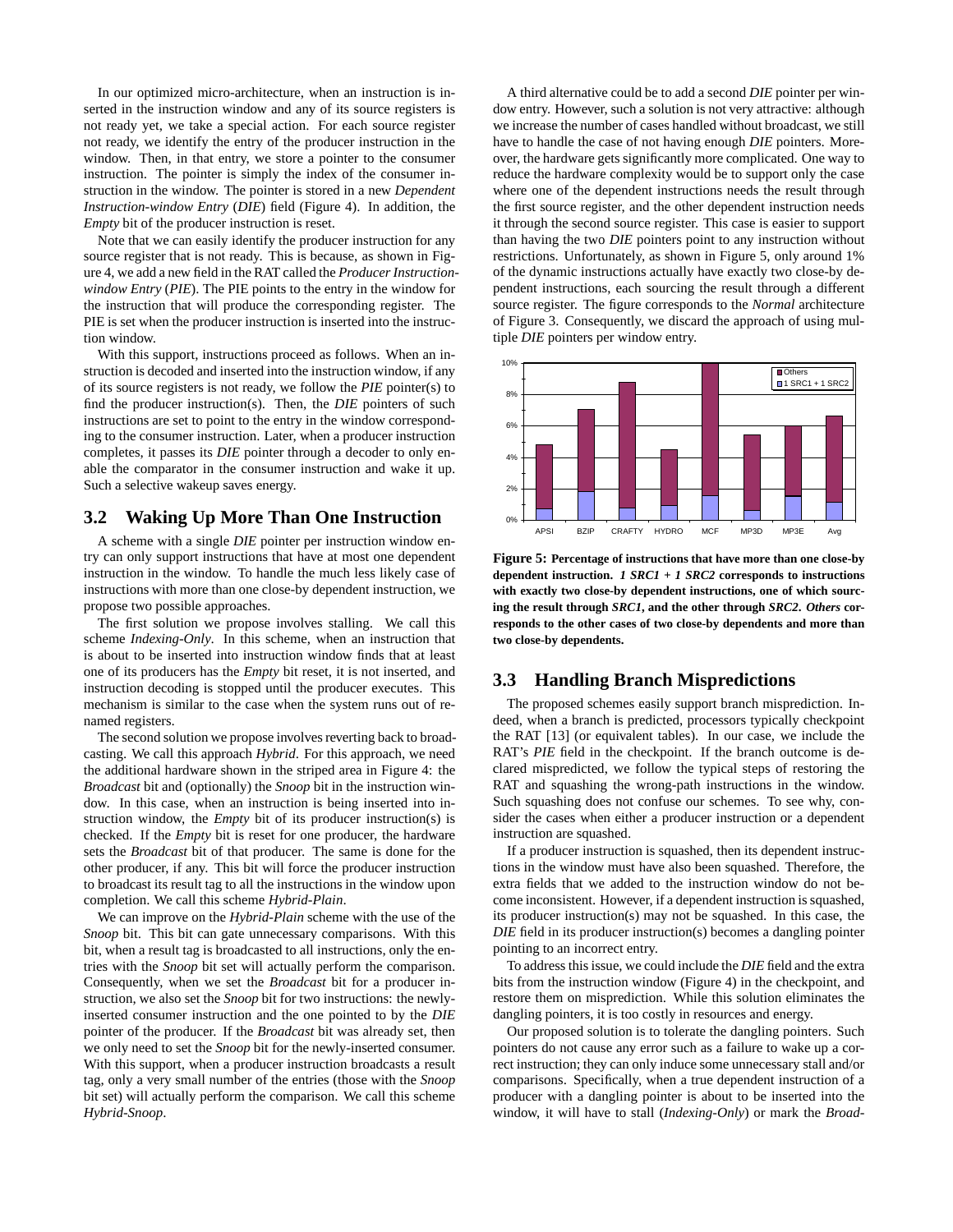In our optimized micro-architecture, when an instruction is inserted in the instruction window and any of its source registers is not ready yet, we take a special action. For each source register not ready, we identify the entry of the producer instruction in the window. Then, in that entry, we store a pointer to the consumer instruction. The pointer is simply the index of the consumer instruction in the window. The pointer is stored in a new *Dependent Instruction-window Entry* (*DIE*) field (Figure 4). In addition, the *Empty* bit of the producer instruction is reset.

Note that we can easily identify the producer instruction for any source register that is not ready. This is because, as shown in Figure 4, we add a new field in the RAT called the *Producer Instructionwindow Entry* (*PIE*). The PIE points to the entry in the window for the instruction that will produce the corresponding register. The PIE is set when the producer instruction is inserted into the instruction window.

With this support, instructions proceed as follows. When an instruction is decoded and inserted into the instruction window, if any of its source registers is not ready, we follow the *PIE* pointer(s) to find the producer instruction(s). Then, the *DIE* pointers of such instructions are set to point to the entry in the window corresponding to the consumer instruction. Later, when a producer instruction completes, it passes its *DIE* pointer through a decoder to only enable the comparator in the consumer instruction and wake it up. Such a selective wakeup saves energy.

#### **3.2 Waking Up More Than One Instruction**

A scheme with a single *DIE* pointer per instruction window entry can only support instructions that have at most one dependent instruction in the window. To handle the much less likely case of instructions with more than one close-by dependent instruction, we propose two possible approaches.

The first solution we propose involves stalling. We call this scheme *Indexing-Only*. In this scheme, when an instruction that is about to be inserted into instruction window finds that at least one of its producers has the *Empty* bit reset, it is not inserted, and instruction decoding is stopped until the producer executes. This mechanism is similar to the case when the system runs out of renamed registers.

The second solution we propose involves reverting back to broadcasting. We call this approach *Hybrid*. For this approach, we need the additional hardware shown in the striped area in Figure 4: the *Broadcast* bit and (optionally) the *Snoop* bit in the instruction window. In this case, when an instruction is being inserted into instruction window, the *Empty* bit of its producer instruction(s) is checked. If the *Empty* bit is reset for one producer, the hardware sets the *Broadcast* bit of that producer. The same is done for the other producer, if any. This bit will force the producer instruction to broadcast its result tag to all the instructions in the window upon completion. We call this scheme *Hybrid-Plain*.

We can improve on the *Hybrid-Plain* scheme with the use of the *Snoop* bit. This bit can gate unnecessary comparisons. With this bit, when a result tag is broadcasted to all instructions, only the entries with the *Snoop* bit set will actually perform the comparison. Consequently, when we set the *Broadcast* bit for a producer instruction, we also set the *Snoop* bit for two instructions: the newlyinserted consumer instruction and the one pointed to by the *DIE* pointer of the producer. If the *Broadcast* bit was already set, then we only need to set the *Snoop* bit for the newly-inserted consumer. With this support, when a producer instruction broadcasts a result tag, only a very small number of the entries (those with the *Snoop* bit set) will actually perform the comparison. We call this scheme *Hybrid-Snoop*.

A third alternative could be to add a second *DIE* pointer per window entry. However, such a solution is not very attractive: although we increase the number of cases handled without broadcast, we still have to handle the case of not having enough *DIE* pointers. Moreover, the hardware gets significantly more complicated. One way to reduce the hardware complexity would be to support only the case where one of the dependent instructions needs the result through the first source register, and the other dependent instruction needs it through the second source register. This case is easier to support than having the two *DIE* pointers point to any instruction without restrictions. Unfortunately, as shown in Figure 5, only around 1% of the dynamic instructions actually have exactly two close-by dependent instructions, each sourcing the result through a different source register. The figure corresponds to the *Normal* architecture of Figure 3. Consequently, we discard the approach of using multiple *DIE* pointers per window entry.



**Figure 5: Percentage of instructions that have more than one close-by dependent instruction.** *1 SRC1 + 1 SRC2* **corresponds to instructions with exactly two close-by dependent instructions, one of which sourcing the result through** *SRC1***, and the other through** *SRC2***.** *Others* **corresponds to the other cases of two close-by dependents and more than two close-by dependents.**

#### **3.3 Handling Branch Mispredictions**

The proposed schemes easily support branch misprediction. Indeed, when a branch is predicted, processors typically checkpoint the RAT [13] (or equivalent tables). In our case, we include the RAT's *PIE* field in the checkpoint. If the branch outcome is declared mispredicted, we follow the typical steps of restoring the RAT and squashing the wrong-path instructions in the window. Such squashing does not confuse our schemes. To see why, consider the cases when either a producer instruction or a dependent instruction are squashed.

If a producer instruction is squashed, then its dependent instructions in the window must have also been squashed. Therefore, the extra fields that we added to the instruction window do not become inconsistent. However, if a dependent instruction is squashed, its producer instruction(s) may not be squashed. In this case, the *DIE* field in its producer instruction(s) becomes a dangling pointer pointing to an incorrect entry.

To address thisissue, we could include the *DIE* field and the extra bits from the instruction window (Figure 4) in the checkpoint, and restore them on misprediction. While this solution eliminates the dangling pointers, it is too costly in resources and energy.

Our proposed solution is to tolerate the dangling pointers. Such pointers do not cause any error such as a failure to wake up a correct instruction; they can only induce some unnecessary stall and/or comparisons. Specifically, when a true dependent instruction of a producer with a dangling pointer is about to be inserted into the window, it will have to stall (*Indexing-Only*) or mark the *Broad-*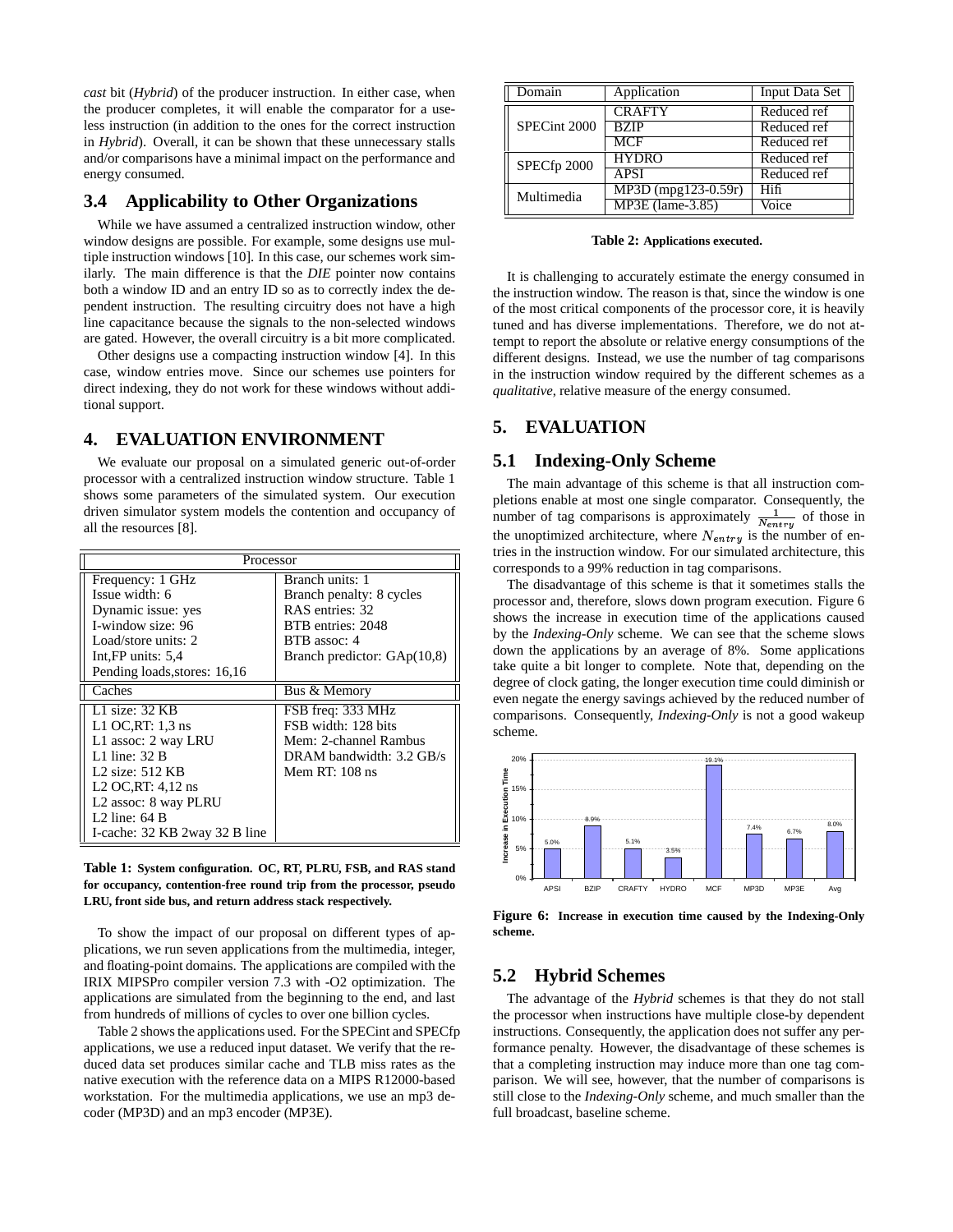*cast* bit (*Hybrid*) of the producer instruction. In either case, when the producer completes, it will enable the comparator for a useless instruction (in addition to the ones for the correct instruction in *Hybrid*). Overall, it can be shown that these unnecessary stalls and/or comparisons have a minimal impact on the performance and energy consumed.

#### **3.4 Applicability to Other Organizations**

While we have assumed a centralized instruction window, other window designs are possible. For example, some designs use multiple instruction windows [10]. In this case, our schemes work similarly. The main difference is that the *DIE* pointer now contains both a window ID and an entry ID so as to correctly index the dependent instruction. The resulting circuitry does not have a high line capacitance because the signals to the non-selected windows are gated. However, the overall circuitry is a bit more complicated.

Other designs use a compacting instruction window [4]. In this case, window entries move. Since our schemes use pointers for direct indexing, they do not work for these windows without additional support.

#### **4. EVALUATION ENVIRONMENT**

We evaluate our proposal on a simulated generic out-of-order processor with a centralized instruction window structure. Table 1 shows some parameters of the simulated system. Our execution driven simulator system models the contention and occupancy of all the resources [8].

| Processor                        |                               |  |
|----------------------------------|-------------------------------|--|
| Frequency: 1 GHz                 | Branch units: 1               |  |
| Issue width: 6                   | Branch penalty: 8 cycles      |  |
| Dynamic issue: yes               | RAS entries: 32               |  |
| I-window size: 96                | BTB entries: 2048             |  |
| Load/store units: 2              | BTB assoc: 4                  |  |
| Int, $FP$ units: $5.4$           | Branch predictor: $GAp(10,8)$ |  |
| Pending loads, stores: 16,16     |                               |  |
| Caches                           | Bus & Memory                  |  |
| L1 size: $32$ KB                 | FSB freq: 333 MHz             |  |
| L1 OC, RT: $1,3$ ns              | FSB width: 128 bits           |  |
| L1 assoc: 2 way LRU              | Mem: 2-channel Rambus         |  |
| $L1$ line: $32B$                 | DRAM bandwidth: 3.2 GB/s      |  |
| L <sub>2</sub> size: $512$ KB    | Mem RT: $108$ ns              |  |
| L <sub>2</sub> OC, RT: $4,12$ ns |                               |  |
| L <sub>2</sub> assoc: 8 way PLRU |                               |  |
| L <sub>2</sub> line: $64B$       |                               |  |
| I-cache: 32 KB 2way 32 B line    |                               |  |

**Table 1: System configuration. OC, RT, PLRU, FSB, and RAS stand for occupancy, contention-free round trip from the processor, pseudo LRU, front side bus, and return address stack respectively.**

To show the impact of our proposal on different types of applications, we run seven applications from the multimedia, integer, and floating-point domains. The applications are compiled with the IRIX MIPSPro compiler version 7.3 with -O2 optimization. The applications are simulated from the beginning to the end, and last from hundreds of millions of cycles to over one billion cycles.

Table 2 shows the applications used. For the SPECint and SPECfp applications, we use a reduced input dataset. We verify that the reduced data set produces similar cache and TLB miss rates as the native execution with the reference data on a MIPS R12000-based workstation. For the multimedia applications, we use an mp3 decoder (MP3D) and an mp3 encoder (MP3E).

| Domain       | Application         | Input Data Set |
|--------------|---------------------|----------------|
| SPECint 2000 | <b>CRAFTY</b>       | Reduced ref    |
|              | <b>BZIP</b>         | Reduced ref    |
|              | MCF                 | Reduced ref    |
| SPECfp 2000  | <b>HYDRO</b>        | Reduced ref    |
|              | <b>APSI</b>         | Reduced ref    |
| Multimedia   | MP3D (mpg123-0.59r) | Hifi           |
|              | MP3E (lame-3.85)    | Voice          |

#### **Table 2: Applications executed.**

It is challenging to accurately estimate the energy consumed in the instruction window. The reason is that, since the window is one of the most critical components of the processor core, it is heavily tuned and has diverse implementations. Therefore, we do not attempt to report the absolute or relative energy consumptions of the different designs. Instead, we use the number of tag comparisons in the instruction window required by the different schemes as a *qualitative*, relative measure of the energy consumed.

# **5. EVALUATION**

#### **5.1 Indexing-Only Scheme**

The main advantage of this scheme is that all instruction completions enable at most one single comparator. Consequently, the number of tag comparisons is approximately  $\frac{1}{N}$  of those in the unoptimized architecture, where  $N_{entry}$  is the number of entries in the instruction window. For our simulated architecture, this corresponds to a 99% reduction in tag comparisons.

The disadvantage of this scheme is that it sometimes stalls the processor and, therefore, slows down program execution. Figure 6 shows the increase in execution time of the applications caused by the *Indexing-Only* scheme. We can see that the scheme slows down the applications by an average of 8%. Some applications take quite a bit longer to complete. Note that, depending on the degree of clock gating, the longer execution time could diminish or even negate the energy savings achieved by the reduced number of comparisons. Consequently, *Indexing-Only* is not a good wakeup scheme.



**Figure 6: Increase in execution time caused by the Indexing-Only scheme.**

#### **5.2 Hybrid Schemes**

The advantage of the *Hybrid* schemes is that they do not stall the processor when instructions have multiple close-by dependent instructions. Consequently, the application does not suffer any performance penalty. However, the disadvantage of these schemes is that a completing instruction may induce more than one tag comparison. We will see, however, that the number of comparisons is still close to the *Indexing-Only* scheme, and much smaller than the full broadcast, baseline scheme.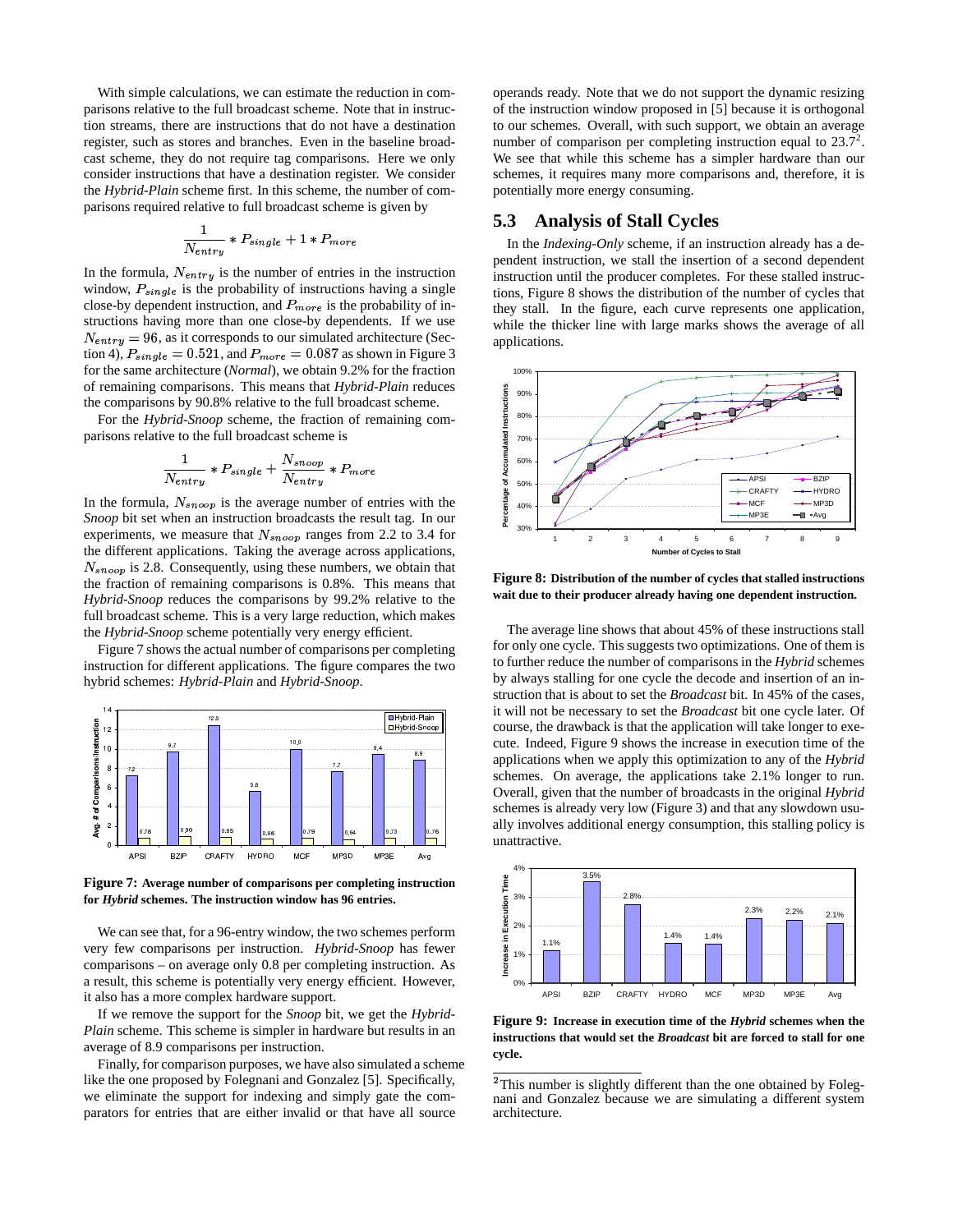With simple calculations, we can estimate the reduction in comparisons relative to the full broadcast scheme. Note that in instruction streams, there are instructions that do not have a destination register, such as stores and branches. Even in the baseline broadcast scheme, they do not require tag comparisons. Here we only consider instructions that have a destination register. We consider the *Hybrid-Plain* scheme first. In this scheme, the number of comparisons required relative to full broadcast scheme is given by

$$
\frac{1}{N_{entry}} * P_{single} + 1 * P_{more}
$$

In the formula,  $N_{entry}$  is the number of entries in the instruction window,  $P_{single}$  is the probability of instructions having a single close-by dependent instruction, and  $P_{more}$  is the probability of instructions having more than one close-by dependents. If we use  $N_{entry} = 96$ , as it corresponds to our simulated architecture (Section 4),  $P_{single} = 0.521$ , and  $P_{more} = 0.087$  as shown in Figure 3 for the same architecture (*Normal*), we obtain 9.2% for the fraction of remaining comparisons. This means that *Hybrid-Plain* reduces the comparisons by 90.8% relative to the full broadcast scheme.

For the *Hybrid-Snoop* scheme, the fraction of remaining comparisons relative to the full broadcast scheme is

$$
\frac{1}{N_{entry}} * P_{single} + \frac{N_{smooth}}{N_{entry}} * P_{more}
$$

In the formula,  $N_{\text{smooth}}$  is the average number of entries with the *Snoop* bit set when an instruction broadcasts the result tag. In our experiments, we measure that  $N_{s_{\text{noop}}}$  ranges from 2.2 to 3.4 for the different applications. Taking the average across applications,  $N_{s_{\text{noop}}}$  is 2.8. Consequently, using these numbers, we obtain that the fraction of remaining comparisons is 0.8%. This means that *Hybrid-Snoop* reduces the comparisons by 99.2% relative to the full broadcast scheme. This is a very large reduction, which makes the *Hybrid-Snoop* scheme potentially very energy efficient.

Figure 7 shows the actual number of comparisons per completing instruction for different applications. The figure compares the two hybrid schemes: *Hybrid-Plain* and *Hybrid-Snoop*.



**Figure 7: Average number of comparisons per completing instruction for** *Hybrid* **schemes. The instruction window has 96 entries.**

We can see that, for a 96-entry window, the two schemes perform very few comparisons per instruction. *Hybrid-Snoop* has fewer comparisons – on average only 0.8 per completing instruction. As a result, this scheme is potentially very energy efficient. However, it also has a more complex hardware support.

If we remove the support for the *Snoop* bit, we get the *Hybrid-Plain* scheme. This scheme is simpler in hardware but results in an average of 8.9 comparisons per instruction.

Finally, for comparison purposes, we have also simulated a scheme like the one proposed by Folegnani and Gonzalez [5]. Specifically, we eliminate the support for indexing and simply gate the comparators for entries that are either invalid or that have all source

operands ready. Note that we do not support the dynamic resizing of the instruction window proposed in [5] because it is orthogonal to our schemes. Overall, with such support, we obtain an average number of comparison per completing instruction equal to  $23.7^2$ . We see that while this scheme has a simpler hardware than our schemes, it requires many more comparisons and, therefore, it is potentially more energy consuming.

#### **5.3 Analysis of Stall Cycles**

In the *Indexing-Only* scheme, if an instruction already has a dependent instruction, we stall the insertion of a second dependent instruction until the producer completes. For these stalled instructions, Figure 8 shows the distribution of the number of cycles that they stall. In the figure, each curve represents one application, while the thicker line with large marks shows the average of all applications.



**Figure 8: Distribution of the number of cycles that stalled instructions wait due to their producer already having one dependent instruction.**

The average line shows that about 45% of these instructions stall for only one cycle. This suggests two optimizations. One of them is to further reduce the number of comparisons in the *Hybrid* schemes by always stalling for one cycle the decode and insertion of an instruction that is about to set the *Broadcast* bit. In 45% of the cases, it will not be necessary to set the *Broadcast* bit one cycle later. Of course, the drawback is that the application will take longer to execute. Indeed, Figure 9 shows the increase in execution time of the applications when we apply this optimization to any of the *Hybrid* schemes. On average, the applications take 2.1% longer to run. Overall, given that the number of broadcasts in the original *Hybrid* schemes is already very low (Figure 3) and that any slowdown usually involves additional energy consumption, this stalling policy is unattractive.



**Figure 9: Increase in execution time of the** *Hybrid* **schemes when the instructions that would set the** *Broadcast* **bit are forced to stall for one cycle.**

 $2$ This number is slightly different than the one obtained by Folegnani and Gonzalez because we are simulating a different system architecture.